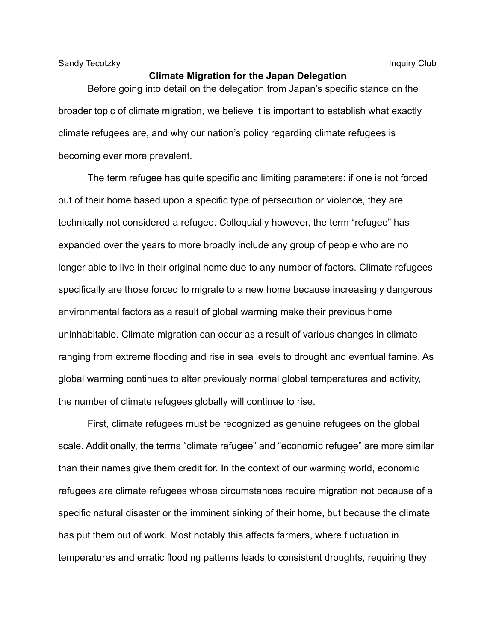Sandy Tecotzky **Inquiry Club** Inquiry Club

Before going into detail on the delegation from Japan's specific stance on the broader topic of climate migration, we believe it is important to establish what exactly climate refugees are, and why our nation's policy regarding climate refugees is becoming ever more prevalent.

The term refugee has quite specific and limiting parameters: if one is not forced out of their home based upon a specific type of persecution or violence, they are technically not considered a refugee. Colloquially however, the term "refugee" has expanded over the years to more broadly include any group of people who are no longer able to live in their original home due to any number of factors. Climate refugees specifically are those forced to migrate to a new home because increasingly dangerous environmental factors as a result of global warming make their previous home uninhabitable. Climate migration can occur as a result of various changes in climate ranging from extreme flooding and rise in sea levels to drought and eventual famine. As global warming continues to alter previously normal global temperatures and activity, the number of climate refugees globally will continue to rise.

First, climate refugees must be recognized as genuine refugees on the global scale. Additionally, the terms "climate refugee" and "economic refugee" are more similar than their names give them credit for. In the context of our warming world, economic refugees are climate refugees whose circumstances require migration not because of a specific natural disaster or the imminent sinking of their home, but because the climate has put them out of work. Most notably this affects farmers, where fluctuation in temperatures and erratic flooding patterns leads to consistent droughts, requiring they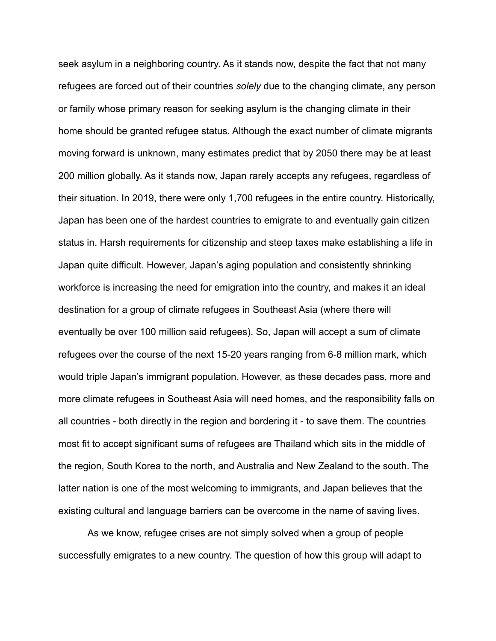seek asylum in a neighboring country. As it stands now, despite the fact that not many refugees are forced out of their countries *solely* due to the changing climate, any person or family whose primary reason for seeking asylum is the changing climate in their home should be granted refugee status. Although the exact number of climate migrants moving forward is unknown, many estimates predict that by 2050 there may be at least 200 million globally. As it stands now, Japan rarely accepts any refugees, regardless of their situation. In 2019, there were only 1,700 refugees in the entire country. Historically, Japan has been one of the hardest countries to emigrate to and eventually gain citizen status in. Harsh requirements for citizenship and steep taxes make establishing a life in Japan quite difficult. However, Japan's aging population and consistently shrinking workforce is increasing the need for emigration into the country, and makes it an ideal destination for a group of climate refugees in Southeast Asia (where there will eventually be over 100 million said refugees). So, Japan will accept a sum of climate refugees over the course of the next 15-20 years ranging from 6-8 million mark, which would triple Japan's immigrant population. However, as these decades pass, more and more climate refugees in Southeast Asia will need homes, and the responsibility falls on all countries - both directly in the region and bordering it - to save them. The countries most fit to accept significant sums of refugees are Thailand which sits in the middle of the region, South Korea to the north, and Australia and New Zealand to the south. The latter nation is one of the most welcoming to immigrants, and Japan believes that the existing cultural and language barriers can be overcome in the name of saving lives.

As we know, refugee crises are not simply solved when a group of people successfully emigrates to a new country. The question of how this group will adapt to